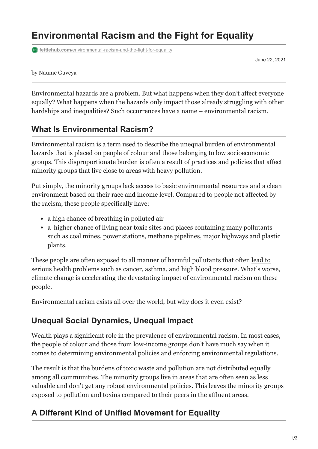# **Environmental Racism and the Fight for Equality**

**fettlehub.com[/environmental-racism-and-the-fight-for-equality](https://fettlehub.com/environmental-racism-and-the-fight-for-equality/)** 

June 22, 2021

### by Naume Guveya

Environmental hazards are a problem. But what happens when they don't affect everyone equally? What happens when the hazards only impact those already struggling with other hardships and inequalities? Such occurrences have a name – environmental racism.

## **What Is Environmental Racism?**

Environmental racism is a term used to describe the unequal burden of environmental hazards that is placed on people of colour and those belonging to low socioeconomic groups. This disproportionate burden is often a result of practices and policies that affect minority groups that live close to areas with heavy pollution.

Put simply, the minority groups lack access to basic environmental resources and a clean environment based on their race and income level. Compared to people not affected by the racism, these people specifically have:

- a high chance of breathing in polluted air
- a higher chance of living near toxic sites and places containing many pollutants such as coal mines, power stations, methane pipelines, major highways and plastic plants.

[These people are often exposed to all manner of harmful pollutants that often lead to](https://dual-diagnosis.imedpub.com/causes-mechanisms-and-prevention-ofenvironmental-diseases.php?aid=8516) serious health problems such as cancer, asthma, and high blood pressure. What's worse, climate change is accelerating the devastating impact of environmental racism on these people.

Environmental racism exists all over the world, but why does it even exist?

## **Unequal Social Dynamics, Unequal Impact**

Wealth plays a significant role in the prevalence of environmental racism. In most cases, the people of colour and those from low-income groups don't have much say when it comes to determining environmental policies and enforcing environmental regulations.

The result is that the burdens of toxic waste and pollution are not distributed equally among all communities. The minority groups live in areas that are often seen as less valuable and don't get any robust environmental policies. This leaves the minority groups exposed to pollution and toxins compared to their peers in the affluent areas.

## **A Different Kind of Unified Movement for Equality**